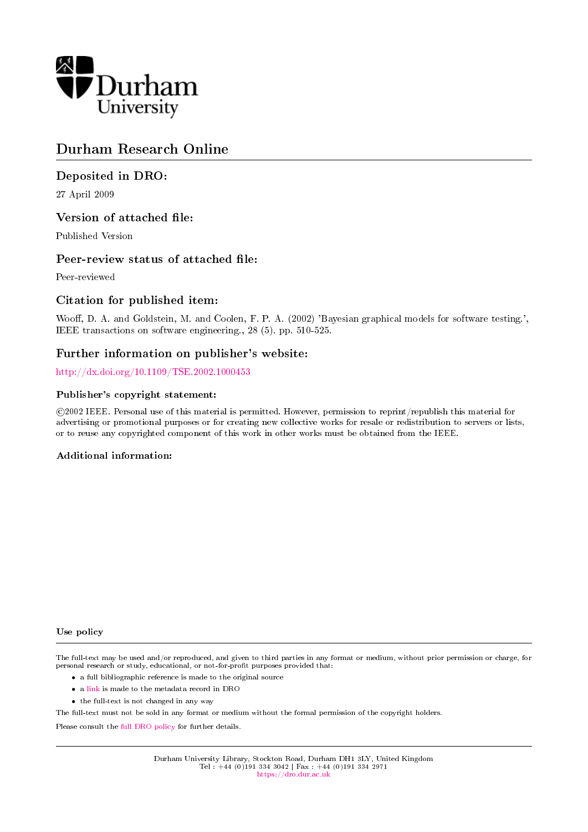

# Durham Research Online

# Deposited in DRO:

27 April 2009

# Version of attached file:

Published Version

# Peer-review status of attached file:

Peer-reviewed

# Citation for published item:

Wooff, D. A. and Goldstein, M. and Coolen, F. P. A. (2002) 'Bayesian graphical models for software testing.', IEEE transactions on software engineering., 28 (5). pp. 510-525.

# Further information on publisher's website:

<http://dx.doi.org/10.1109/TSE.2002.1000453>

# Publisher's copyright statement:

 c 2002 IEEE. Personal use of this material is permitted. However, permission to reprint/republish this material for advertising or promotional purposes or for creating new collective works for resale or redistribution to servers or lists, or to reuse any copyrighted component of this work in other works must be obtained from the IEEE.

# Additional information:

#### Use policy

The full-text may be used and/or reproduced, and given to third parties in any format or medium, without prior permission or charge, for personal research or study, educational, or not-for-profit purposes provided that:

- a full bibliographic reference is made to the original source
- a [link](http://dro.dur.ac.uk/3000/) is made to the metadata record in DRO
- the full-text is not changed in any way

The full-text must not be sold in any format or medium without the formal permission of the copyright holders.

Please consult the [full DRO policy](https://dro.dur.ac.uk/policies/usepolicy.pdf) for further details.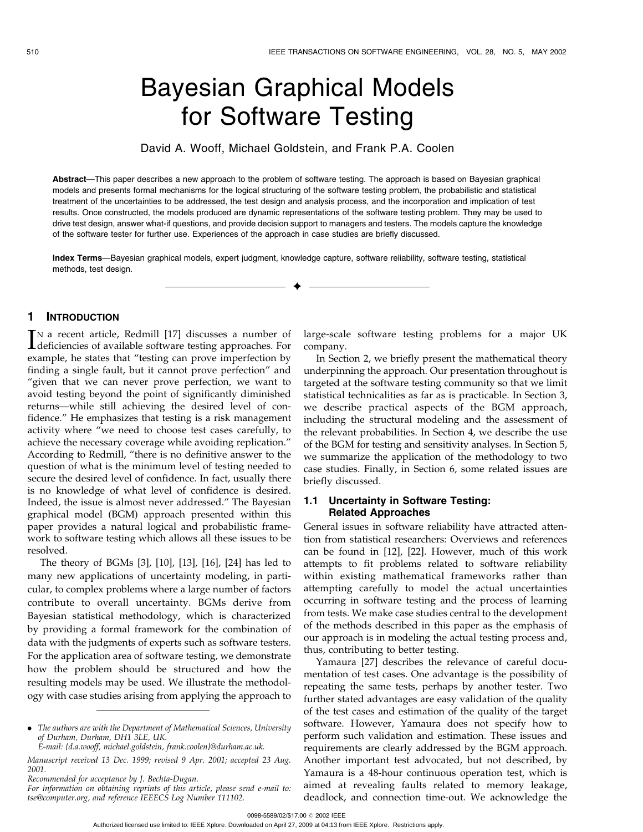# **Bayesian Graphical Models** for Software Testing

David A. Wooff, Michael Goldstein, and Frank P.A. Coolen

Abstract-This paper describes a new approach to the problem of software testing. The approach is based on Bayesian graphical models and presents formal mechanisms for the logical structuring of the software testing problem, the probabilistic and statistical treatment of the uncertainties to be addressed, the test design and analysis process, and the incorporation and implication of test results. Once constructed, the models produced are dynamic representations of the software testing problem. They may be used to drive test design, answer what-if questions, and provide decision support to managers and testers. The models capture the knowledge of the software tester for further use. Experiences of the approach in case studies are briefly discussed.

Index Terms-Bayesian graphical models, expert judgment, knowledge capture, software reliability, software testing, statistical methods, test design.

#### $\mathbf 1$ **INTRODUCTION**

IN a recent article, Redmill [17] discusses a number of Ldeficiencies of available software testing approaches. For example, he states that "testing can prove imperfection by finding a single fault, but it cannot prove perfection" and "given that we can never prove perfection, we want to avoid testing beyond the point of significantly diminished returns-while still achieving the desired level of confidence." He emphasizes that testing is a risk management activity where "we need to choose test cases carefully, to achieve the necessary coverage while avoiding replication." According to Redmill, "there is no definitive answer to the question of what is the minimum level of testing needed to secure the desired level of confidence. In fact, usually there is no knowledge of what level of confidence is desired. Indeed, the issue is almost never addressed." The Bayesian graphical model (BGM) approach presented within this paper provides a natural logical and probabilistic framework to software testing which allows all these issues to be resolved.

The theory of BGMs [3], [10], [13], [16], [24] has led to many new applications of uncertainty modeling, in particular, to complex problems where a large number of factors contribute to overall uncertainty. BGMs derive from Bayesian statistical methodology, which is characterized by providing a formal framework for the combination of data with the judgments of experts such as software testers. For the application area of software testing, we demonstrate how the problem should be structured and how the resulting models may be used. We illustrate the methodology with case studies arising from applying the approach to

E-mail: {d.a.wooff, michael.goldstein, frank.coolen}@durham.ac.uk.

For information on obtaining reprints of this article, please send e-mail to: tse@computer.org, and reference IEEECS Log Number 111102.

large-scale software testing problems for a major UK company.

In Section 2, we briefly present the mathematical theory underpinning the approach. Our presentation throughout is targeted at the software testing community so that we limit statistical technicalities as far as is practicable. In Section 3, we describe practical aspects of the BGM approach, including the structural modeling and the assessment of the relevant probabilities. In Section 4, we describe the use of the BGM for testing and sensitivity analyses. In Section 5, we summarize the application of the methodology to two case studies. Finally, in Section 6, some related issues are briefly discussed.

#### 1.1 Uncertainty in Software Testing: **Related Approaches**

General issues in software reliability have attracted attention from statistical researchers: Overviews and references can be found in [12], [22]. However, much of this work attempts to fit problems related to software reliability within existing mathematical frameworks rather than attempting carefully to model the actual uncertainties occurring in software testing and the process of learning from tests. We make case studies central to the development of the methods described in this paper as the emphasis of our approach is in modeling the actual testing process and, thus, contributing to better testing.

Yamaura [27] describes the relevance of careful documentation of test cases. One advantage is the possibility of repeating the same tests, perhaps by another tester. Two further stated advantages are easy validation of the quality of the test cases and estimation of the quality of the target software. However, Yamaura does not specify how to perform such validation and estimation. These issues and requirements are clearly addressed by the BGM approach. Another important test advocated, but not described, by Yamaura is a 48-hour continuous operation test, which is aimed at revealing faults related to memory leakage, deadlock, and connection time-out. We acknowledge the

0098-5589/02/\$17.00 @ 2002 IEEE

<sup>•</sup> The authors are with the Department of Mathematical Sciences, University of Durham, Durham, DH1 3LE, UK.

Manuscript received 13 Dec. 1999; revised 9 Apr. 2001; accepted 23 Aug. 2001.

Recommended for acceptance by J. Bechta-Dugan.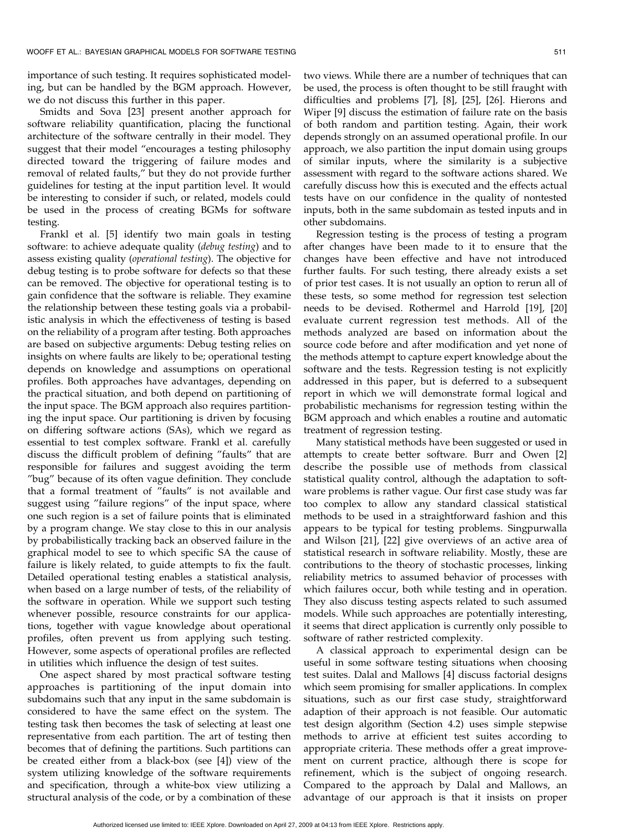importance of such testing. It requires sophisticated modeling, but can be handled by the BGM approach. However, we do not discuss this further in this paper.

Smidts and Sova [23] present another approach for software reliability quantification, placing the functional architecture of the software centrally in their model. They suggest that their model "encourages a testing philosophy directed toward the triggering of failure modes and removal of related faults," but they do not provide further guidelines for testing at the input partition level. It would be interesting to consider if such, or related, models could be used in the process of creating BGMs for software testing.

Frankl et al. [5] identify two main goals in testing software: to achieve adequate quality (debug testing) and to assess existing quality (operational testing). The objective for debug testing is to probe software for defects so that these can be removed. The objective for operational testing is to gain confidence that the software is reliable. They examine the relationship between these testing goals via a probabilistic analysis in which the effectiveness of testing is based on the reliability of a program after testing. Both approaches are based on subjective arguments: Debug testing relies on insights on where faults are likely to be; operational testing depends on knowledge and assumptions on operational profiles. Both approaches have advantages, depending on the practical situation, and both depend on partitioning of the input space. The BGM approach also requires partitioning the input space. Our partitioning is driven by focusing on differing software actions (SAs), which we regard as essential to test complex software. Frankl et al. carefully discuss the difficult problem of defining "faults" that are responsible for failures and suggest avoiding the term "bug" because of its often vague definition. They conclude that a formal treatment of "faults" is not available and suggest using "failure regions" of the input space, where one such region is a set of failure points that is eliminated by a program change. We stay close to this in our analysis by probabilistically tracking back an observed failure in the graphical model to see to which specific SA the cause of failure is likely related, to guide attempts to fix the fault. Detailed operational testing enables a statistical analysis, when based on a large number of tests, of the reliability of the software in operation. While we support such testing whenever possible, resource constraints for our applications, together with vague knowledge about operational profiles, often prevent us from applying such testing. However, some aspects of operational profiles are reflected in utilities which influence the design of test suites.

One aspect shared by most practical software testing approaches is partitioning of the input domain into subdomains such that any input in the same subdomain is considered to have the same effect on the system. The testing task then becomes the task of selecting at least one representative from each partition. The art of testing then becomes that of defining the partitions. Such partitions can be created either from a black-box (see [4]) view of the system utilizing knowledge of the software requirements and specification, through a white-box view utilizing a structural analysis of the code, or by a combination of these

two views. While there are a number of techniques that can be used, the process is often thought to be still fraught with difficulties and problems [7], [8], [25], [26]. Hierons and Wiper [9] discuss the estimation of failure rate on the basis of both random and partition testing. Again, their work depends strongly on an assumed operational profile. In our approach, we also partition the input domain using groups of similar inputs, where the similarity is a subjective assessment with regard to the software actions shared. We carefully discuss how this is executed and the effects actual tests have on our confidence in the quality of nontested inputs, both in the same subdomain as tested inputs and in other subdomains.

Regression testing is the process of testing a program after changes have been made to it to ensure that the changes have been effective and have not introduced further faults. For such testing, there already exists a set of prior test cases. It is not usually an option to rerun all of these tests, so some method for regression test selection needs to be devised. Rothermel and Harrold [19], [20] evaluate current regression test methods. All of the methods analyzed are based on information about the source code before and after modification and yet none of the methods attempt to capture expert knowledge about the software and the tests. Regression testing is not explicitly addressed in this paper, but is deferred to a subsequent report in which we will demonstrate formal logical and probabilistic mechanisms for regression testing within the BGM approach and which enables a routine and automatic treatment of regression testing.

Many statistical methods have been suggested or used in attempts to create better software. Burr and Owen [2] describe the possible use of methods from classical statistical quality control, although the adaptation to software problems is rather vague. Our first case study was far too complex to allow any standard classical statistical methods to be used in a straightforward fashion and this appears to be typical for testing problems. Singpurwalla and Wilson [21], [22] give overviews of an active area of statistical research in software reliability. Mostly, these are contributions to the theory of stochastic processes, linking reliability metrics to assumed behavior of processes with which failures occur, both while testing and in operation. They also discuss testing aspects related to such assumed models. While such approaches are potentially interesting, it seems that direct application is currently only possible to software of rather restricted complexity.

A classical approach to experimental design can be useful in some software testing situations when choosing test suites. Dalal and Mallows [4] discuss factorial designs which seem promising for smaller applications. In complex situations, such as our first case study, straightforward adaption of their approach is not feasible. Our automatic test design algorithm (Section 4.2) uses simple stepwise methods to arrive at efficient test suites according to appropriate criteria. These methods offer a great improvement on current practice, although there is scope for refinement, which is the subject of ongoing research. Compared to the approach by Dalal and Mallows, an advantage of our approach is that it insists on proper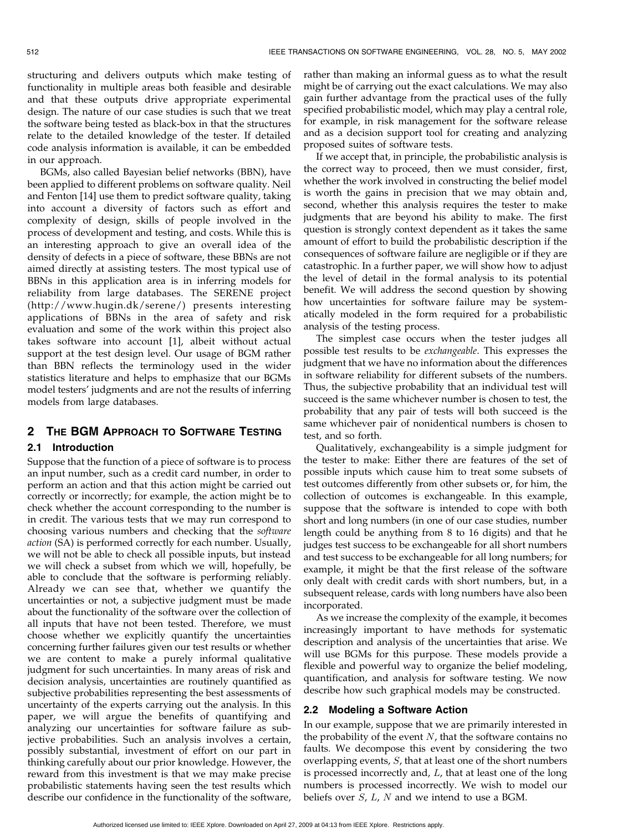structuring and delivers outputs which make testing of functionality in multiple areas both feasible and desirable and that these outputs drive appropriate experimental design. The nature of our case studies is such that we treat the software being tested as black-box in that the structures relate to the detailed knowledge of the tester. If detailed code analysis information is available, it can be embedded in our approach.

BGMs, also called Bayesian belief networks (BBN), have been applied to different problems on software quality. Neil and Fenton [14] use them to predict software quality, taking into account a diversity of factors such as effort and complexity of design, skills of people involved in the process of development and testing, and costs. While this is an interesting approach to give an overall idea of the density of defects in a piece of software, these BBNs are not aimed directly at assisting testers. The most typical use of BBNs in this application area is in inferring models for reliability from large databases. The SERENE project (http://www.hugin.dk/serene/) presents interesting applications of BBNs in the area of safety and risk evaluation and some of the work within this project also takes software into account [1], albeit without actual support at the test design level. Our usage of BGM rather than BBN reflects the terminology used in the wider statistics literature and helps to emphasize that our BGMs model testers' judgments and are not the results of inferring models from large databases.

#### THE BGM APPROACH TO SOFTWARE TESTING 2

#### 2.1 Introduction

Suppose that the function of a piece of software is to process an input number, such as a credit card number, in order to perform an action and that this action might be carried out correctly or incorrectly; for example, the action might be to check whether the account corresponding to the number is in credit. The various tests that we may run correspond to choosing various numbers and checking that the software *action* (SA) is performed correctly for each number. Usually, we will not be able to check all possible inputs, but instead we will check a subset from which we will, hopefully, be able to conclude that the software is performing reliably. Already we can see that, whether we quantify the uncertainties or not, a subjective judgment must be made about the functionality of the software over the collection of all inputs that have not been tested. Therefore, we must choose whether we explicitly quantify the uncertainties concerning further failures given our test results or whether we are content to make a purely informal qualitative judgment for such uncertainties. In many areas of risk and decision analysis, uncertainties are routinely quantified as subjective probabilities representing the best assessments of uncertainty of the experts carrying out the analysis. In this paper, we will argue the benefits of quantifying and analyzing our uncertainties for software failure as subjective probabilities. Such an analysis involves a certain, possibly substantial, investment of effort on our part in thinking carefully about our prior knowledge. However, the reward from this investment is that we may make precise probabilistic statements having seen the test results which describe our confidence in the functionality of the software,

rather than making an informal guess as to what the result might be of carrying out the exact calculations. We may also gain further advantage from the practical uses of the fully specified probabilistic model, which may play a central role, for example, in risk management for the software release and as a decision support tool for creating and analyzing proposed suites of software tests.

If we accept that, in principle, the probabilistic analysis is the correct way to proceed, then we must consider, first, whether the work involved in constructing the belief model is worth the gains in precision that we may obtain and, second, whether this analysis requires the tester to make judgments that are beyond his ability to make. The first question is strongly context dependent as it takes the same amount of effort to build the probabilistic description if the consequences of software failure are negligible or if they are catastrophic. In a further paper, we will show how to adjust the level of detail in the formal analysis to its potential benefit. We will address the second question by showing how uncertainties for software failure may be systematically modeled in the form required for a probabilistic analysis of the testing process.

The simplest case occurs when the tester judges all possible test results to be exchangeable. This expresses the judgment that we have no information about the differences in software reliability for different subsets of the numbers. Thus, the subjective probability that an individual test will succeed is the same whichever number is chosen to test, the probability that any pair of tests will both succeed is the same whichever pair of nonidentical numbers is chosen to test, and so forth.

Qualitatively, exchangeability is a simple judgment for the tester to make: Either there are features of the set of possible inputs which cause him to treat some subsets of test outcomes differently from other subsets or, for him, the collection of outcomes is exchangeable. In this example, suppose that the software is intended to cope with both short and long numbers (in one of our case studies, number length could be anything from 8 to 16 digits) and that he judges test success to be exchangeable for all short numbers and test success to be exchangeable for all long numbers; for example, it might be that the first release of the software only dealt with credit cards with short numbers, but, in a subsequent release, cards with long numbers have also been incorporated.

As we increase the complexity of the example, it becomes increasingly important to have methods for systematic description and analysis of the uncertainties that arise. We will use BGMs for this purpose. These models provide a flexible and powerful way to organize the belief modeling, quantification, and analysis for software testing. We now describe how such graphical models may be constructed.

#### 2.2 Modeling a Software Action

In our example, suppose that we are primarily interested in the probability of the event  $N$ , that the software contains no faults. We decompose this event by considering the two overlapping events,  $S$ , that at least one of the short numbers is processed incorrectly and,  $L$ , that at least one of the long numbers is processed incorrectly. We wish to model our beliefs over  $S$ ,  $L$ ,  $N$  and we intend to use a BGM.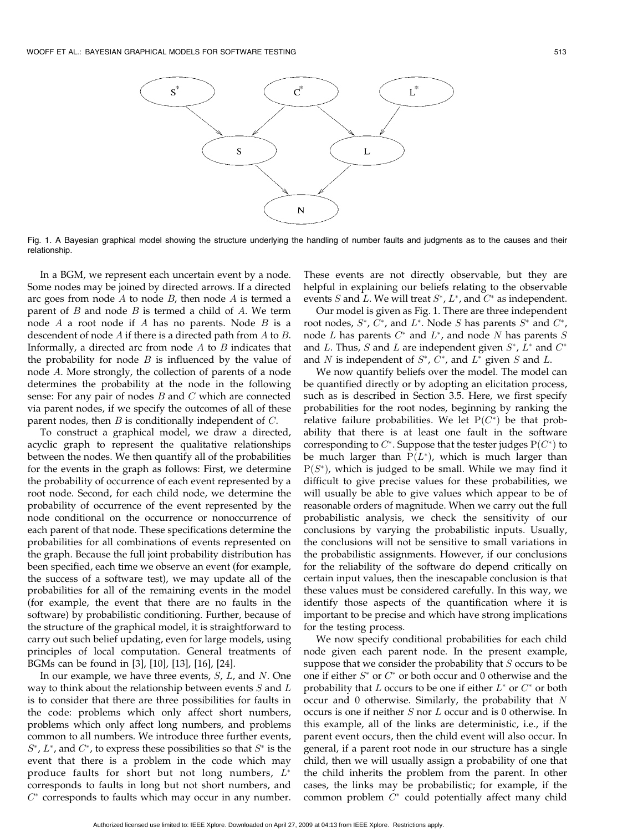

Fig. 1. A Bayesian graphical model showing the structure underlying the handling of number faults and judgments as to the causes and their relationship.

In a BGM, we represent each uncertain event by a node. Some nodes may be joined by directed arrows. If a directed arc goes from node  $A$  to node  $B$ , then node  $A$  is termed a parent of  $B$  and node  $B$  is termed a child of  $A$ . We term node  $A$  a root node if  $A$  has no parents. Node  $B$  is a descendent of node  $A$  if there is a directed path from  $A$  to  $B$ . Informally, a directed arc from node  $A$  to  $B$  indicates that the probability for node  $B$  is influenced by the value of node A. More strongly, the collection of parents of a node determines the probability at the node in the following sense: For any pair of nodes  $B$  and  $C$  which are connected via parent nodes, if we specify the outcomes of all of these parent nodes, then  $B$  is conditionally independent of  $C$ .

To construct a graphical model, we draw a directed, acyclic graph to represent the qualitative relationships between the nodes. We then quantify all of the probabilities for the events in the graph as follows: First, we determine the probability of occurrence of each event represented by a root node. Second, for each child node, we determine the probability of occurrence of the event represented by the node conditional on the occurrence or nonoccurrence of each parent of that node. These specifications determine the probabilities for all combinations of events represented on the graph. Because the full joint probability distribution has been specified, each time we observe an event (for example, the success of a software test), we may update all of the probabilities for all of the remaining events in the model (for example, the event that there are no faults in the software) by probabilistic conditioning. Further, because of the structure of the graphical model, it is straightforward to carry out such belief updating, even for large models, using principles of local computation. General treatments of BGMs can be found in [3], [10], [13], [16], [24].

In our example, we have three events,  $S$ ,  $L$ , and  $N$ . One way to think about the relationship between events  $S$  and  $L$ is to consider that there are three possibilities for faults in the code: problems which only affect short numbers, problems which only affect long numbers, and problems common to all numbers. We introduce three further events,  $S^*$ ,  $L^*$ , and  $C^*$ , to express these possibilities so that  $S^*$  is the event that there is a problem in the code which may produce faults for short but not long numbers,  $L^*$ corresponds to faults in long but not short numbers, and  $C^*$  corresponds to faults which may occur in any number.

These events are not directly observable, but they are helpful in explaining our beliefs relating to the observable events  $S$  and  $L$ . We will treat  $S^*$ ,  $L^*$ , and  $C^*$  as independent.

Our model is given as Fig. 1. There are three independent root nodes,  $S^*$ ,  $C^*$ , and  $L^*$ . Node  $S$  has parents  $S^*$  and  $C^*$ , node L has parents  $C^*$  and  $L^*$ , and node N has parents S and L. Thus, S and L are independent given  $S^*$ ,  $L^*$  and  $C^*$ and N is independent of  $S^*$ ,  $C^*$ , and  $L^*$  given S and L.

We now quantify beliefs over the model. The model can be quantified directly or by adopting an elicitation process, such as is described in Section 3.5. Here, we first specify probabilities for the root nodes, beginning by ranking the relative failure probabilities. We let  $P(C^*)$  be that probability that there is at least one fault in the software corresponding to  $C^*$ . Suppose that the tester judges  $P(C^*)$  to be much larger than  $P(L^*)$ , which is much larger than  $P(S^*)$ , which is judged to be small. While we may find it difficult to give precise values for these probabilities, we will usually be able to give values which appear to be of reasonable orders of magnitude. When we carry out the full probabilistic analysis, we check the sensitivity of our conclusions by varying the probabilistic inputs. Usually, the conclusions will not be sensitive to small variations in the probabilistic assignments. However, if our conclusions for the reliability of the software do depend critically on certain input values, then the inescapable conclusion is that these values must be considered carefully. In this way, we identify those aspects of the quantification where it is important to be precise and which have strong implications for the testing process.

We now specify conditional probabilities for each child node given each parent node. In the present example, suppose that we consider the probability that  $S$  occurs to be one if either  $S^*$  or  $C^*$  or both occur and 0 otherwise and the probability that  $L$  occurs to be one if either  $L^*$  or  $C^*$  or both occur and 0 otherwise. Similarly, the probability that  $N$ occurs is one if neither S nor L occur and is 0 otherwise. In this example, all of the links are deterministic, i.e., if the parent event occurs, then the child event will also occur. In general, if a parent root node in our structure has a single child, then we will usually assign a probability of one that the child inherits the problem from the parent. In other cases, the links may be probabilistic; for example, if the common problem  $C^*$  could potentially affect many child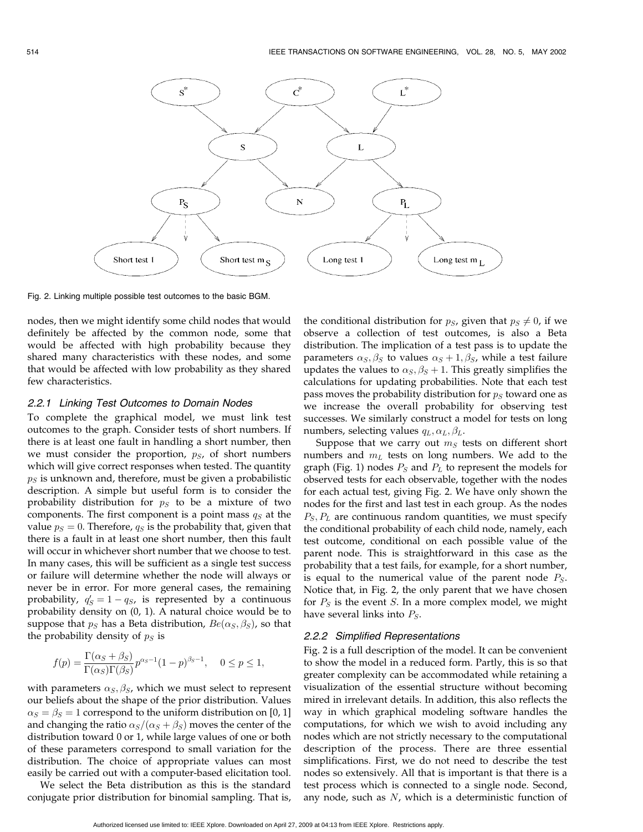

Fig. 2. Linking multiple possible test outcomes to the basic BGM.

nodes, then we might identify some child nodes that would definitely be affected by the common node, some that would be affected with high probability because they shared many characteristics with these nodes, and some that would be affected with low probability as they shared few characteristics.

#### 2.2.1 Linking Test Outcomes to Domain Nodes

To complete the graphical model, we must link test outcomes to the graph. Consider tests of short numbers. If there is at least one fault in handling a short number, then we must consider the proportion,  $p<sub>S</sub>$ , of short numbers which will give correct responses when tested. The quantity  $p_S$  is unknown and, therefore, must be given a probabilistic description. A simple but useful form is to consider the probability distribution for  $p<sub>S</sub>$  to be a mixture of two components. The first component is a point mass  $q_S$  at the value  $p_S = 0$ . Therefore, qs is the probability that, given that there is a fault in at least one short number, then this fault will occur in whichever short number that we choose to test. In many cases, this will be sufficient as a single test success or failure will determine whether the node will always or never be in error. For more general cases, the remaining probability,  $q'_{S} = 1 - q_{S}$ , is represented by a continuous probability density on  $(0, 1)$ . A natural choice would be to suppose that  $p_S$  has a Beta distribution,  $Be(\alpha_S, \beta_S)$ , so that the probability density of  $p_S$  is

$$
f(p) = \frac{\Gamma(\alpha_S + \beta_S)}{\Gamma(\alpha_S)\Gamma(\beta_S)} p^{\alpha_S - 1} (1 - p)^{\beta_S - 1}, \quad 0 \le p \le 1,
$$

with parameters  $\alpha_S, \beta_S$ , which we must select to represent our beliefs about the shape of the prior distribution. Values  $\alpha_S = \beta_S = 1$  correspond to the uniform distribution on [0, 1] and changing the ratio  $\alpha_S/(\alpha_S + \beta_S)$  moves the center of the distribution toward 0 or 1, while large values of one or both of these parameters correspond to small variation for the distribution. The choice of appropriate values can most easily be carried out with a computer-based elicitation tool.

We select the Beta distribution as this is the standard conjugate prior distribution for binomial sampling. That is,

the conditional distribution for  $p_S$ , given that  $p_S \neq 0$ , if we observe a collection of test outcomes, is also a Beta distribution. The implication of a test pass is to update the parameters  $\alpha_S$ ,  $\beta_S$  to values  $\alpha_S$  + 1,  $\beta_S$ , while a test failure updates the values to  $\alpha_S$ ,  $\beta_S$  + 1. This greatly simplifies the calculations for updating probabilities. Note that each test pass moves the probability distribution for  $p<sub>S</sub>$  toward one as we increase the overall probability for observing test successes. We similarly construct a model for tests on long numbers, selecting values  $q_L, \alpha_L, \beta_L$ .

Suppose that we carry out  $m<sub>S</sub>$  tests on different short numbers and  $m<sub>L</sub>$  tests on long numbers. We add to the graph (Fig. 1) nodes  $P_S$  and  $P_L$  to represent the models for observed tests for each observable, together with the nodes for each actual test, giving Fig. 2. We have only shown the nodes for the first and last test in each group. As the nodes  $P_S, P_L$  are continuous random quantities, we must specify the conditional probability of each child node, namely, each test outcome, conditional on each possible value of the parent node. This is straightforward in this case as the probability that a test fails, for example, for a short number, is equal to the numerical value of the parent node  $P<sub>S</sub>$ . Notice that, in Fig. 2, the only parent that we have chosen for  $P_S$  is the event *S*. In a more complex model, we might have several links into  $P<sub>S</sub>$ .

#### 2.2.2 Simplified Representations

Fig. 2 is a full description of the model. It can be convenient to show the model in a reduced form. Partly, this is so that greater complexity can be accommodated while retaining a visualization of the essential structure without becoming mired in irrelevant details. In addition, this also reflects the way in which graphical modeling software handles the computations, for which we wish to avoid including any nodes which are not strictly necessary to the computational description of the process. There are three essential simplifications. First, we do not need to describe the test nodes so extensively. All that is important is that there is a test process which is connected to a single node. Second, any node, such as  $N$ , which is a deterministic function of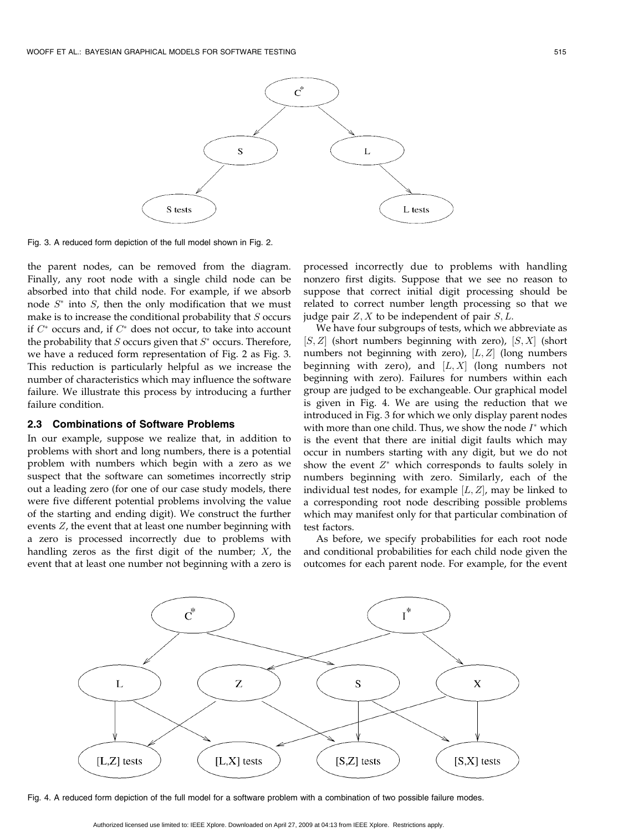

Fig. 3. A reduced form depiction of the full model shown in Fig. 2.

the parent nodes, can be removed from the diagram. Finally, any root node with a single child node can be absorbed into that child node. For example, if we absorb node  $S^*$  into  $S$ , then the only modification that we must make is to increase the conditional probability that  $S$  occurs if  $C^*$  occurs and, if  $C^*$  does not occur, to take into account the probability that  $S$  occurs given that  $S^*$  occurs. Therefore, we have a reduced form representation of Fig. 2 as Fig. 3. This reduction is particularly helpful as we increase the number of characteristics which may influence the software failure. We illustrate this process by introducing a further failure condition.

#### $2.3$ **Combinations of Software Problems**

In our example, suppose we realize that, in addition to problems with short and long numbers, there is a potential problem with numbers which begin with a zero as we suspect that the software can sometimes incorrectly strip out a leading zero (for one of our case study models, there were five different potential problems involving the value of the starting and ending digit). We construct the further events Z, the event that at least one number beginning with a zero is processed incorrectly due to problems with handling zeros as the first digit of the number;  $X$ , the event that at least one number not beginning with a zero is

processed incorrectly due to problems with handling nonzero first digits. Suppose that we see no reason to suppose that correct initial digit processing should be related to correct number length processing so that we judge pair  $Z, X$  to be independent of pair  $S, L$ .

We have four subgroups of tests, which we abbreviate as  $[S, Z]$  (short numbers beginning with zero),  $[S, X]$  (short numbers not beginning with zero),  $[L, Z]$  (long numbers beginning with zero), and  $[L, X]$  (long numbers not beginning with zero). Failures for numbers within each group are judged to be exchangeable. Our graphical model is given in Fig. 4. We are using the reduction that we introduced in Fig. 3 for which we only display parent nodes with more than one child. Thus, we show the node  $I^*$  which is the event that there are initial digit faults which may occur in numbers starting with any digit, but we do not show the event  $Z^*$  which corresponds to faults solely in numbers beginning with zero. Similarly, each of the individual test nodes, for example  $[L, Z]$ , may be linked to a corresponding root node describing possible problems which may manifest only for that particular combination of test factors.

As before, we specify probabilities for each root node and conditional probabilities for each child node given the outcomes for each parent node. For example, for the event



Fig. 4. A reduced form depiction of the full model for a software problem with a combination of two possible failure modes.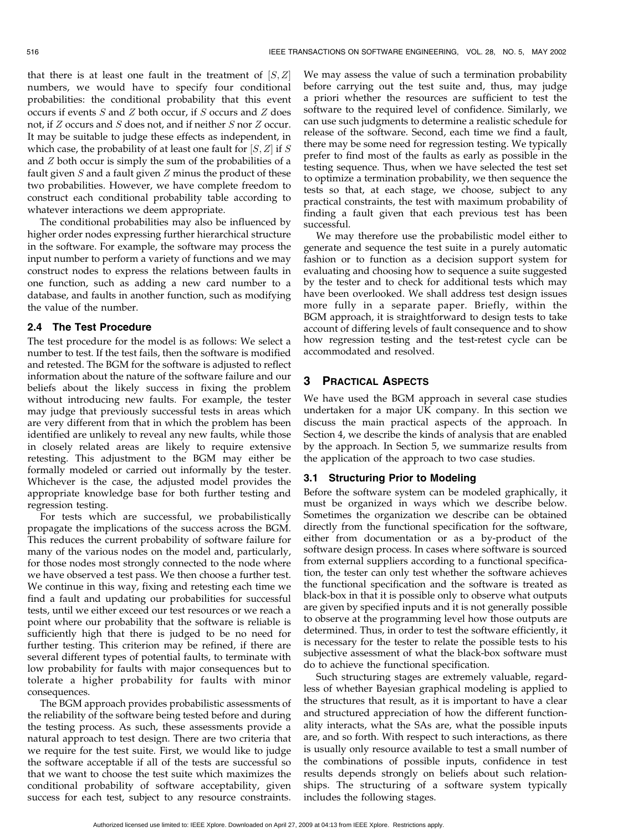that there is at least one fault in the treatment of  $[S, Z]$ numbers, we would have to specify four conditional probabilities: the conditional probability that this event occurs if events S and Z both occur, if S occurs and Z does not, if Z occurs and S does not, and if neither S nor Z occur. It may be suitable to judge these effects as independent, in which case, the probability of at least one fault for  $[S, Z]$  if S and  $Z$  both occur is simply the sum of the probabilities of a fault given  $S$  and a fault given  $Z$  minus the product of these two probabilities. However, we have complete freedom to construct each conditional probability table according to whatever interactions we deem appropriate.

The conditional probabilities may also be influenced by higher order nodes expressing further hierarchical structure in the software. For example, the software may process the input number to perform a variety of functions and we may construct nodes to express the relations between faults in one function, such as adding a new card number to a database, and faults in another function, such as modifying the value of the number.

#### 2.4 The Test Procedure

The test procedure for the model is as follows: We select a number to test. If the test fails, then the software is modified and retested. The BGM for the software is adjusted to reflect information about the nature of the software failure and our beliefs about the likely success in fixing the problem without introducing new faults. For example, the tester may judge that previously successful tests in areas which are very different from that in which the problem has been identified are unlikely to reveal any new faults, while those in closely related areas are likely to require extensive retesting. This adjustment to the BGM may either be formally modeled or carried out informally by the tester. Whichever is the case, the adjusted model provides the appropriate knowledge base for both further testing and regression testing.

For tests which are successful, we probabilistically propagate the implications of the success across the BGM. This reduces the current probability of software failure for many of the various nodes on the model and, particularly, for those nodes most strongly connected to the node where we have observed a test pass. We then choose a further test. We continue in this way, fixing and retesting each time we find a fault and updating our probabilities for successful tests, until we either exceed our test resources or we reach a point where our probability that the software is reliable is sufficiently high that there is judged to be no need for further testing. This criterion may be refined, if there are several different types of potential faults, to terminate with low probability for faults with major consequences but to tolerate a higher probability for faults with minor consequences.

The BGM approach provides probabilistic assessments of the reliability of the software being tested before and during the testing process. As such, these assessments provide a natural approach to test design. There are two criteria that we require for the test suite. First, we would like to judge the software acceptable if all of the tests are successful so that we want to choose the test suite which maximizes the conditional probability of software acceptability, given success for each test, subject to any resource constraints.

We may assess the value of such a termination probability before carrying out the test suite and, thus, may judge a priori whether the resources are sufficient to test the software to the required level of confidence. Similarly, we can use such judgments to determine a realistic schedule for release of the software. Second, each time we find a fault, there may be some need for regression testing. We typically prefer to find most of the faults as early as possible in the testing sequence. Thus, when we have selected the test set to optimize a termination probability, we then sequence the tests so that, at each stage, we choose, subject to any practical constraints, the test with maximum probability of finding a fault given that each previous test has been successful.

We may therefore use the probabilistic model either to generate and sequence the test suite in a purely automatic fashion or to function as a decision support system for evaluating and choosing how to sequence a suite suggested by the tester and to check for additional tests which may have been overlooked. We shall address test design issues more fully in a separate paper. Briefly, within the BGM approach, it is straightforward to design tests to take account of differing levels of fault consequence and to show how regression testing and the test-retest cycle can be accommodated and resolved.

#### 3 **PRACTICAL ASPECTS**

We have used the BGM approach in several case studies undertaken for a major UK company. In this section we discuss the main practical aspects of the approach. In Section 4, we describe the kinds of analysis that are enabled by the approach. In Section 5, we summarize results from the application of the approach to two case studies.

#### 3.1 Structuring Prior to Modeling

Before the software system can be modeled graphically, it must be organized in ways which we describe below. Sometimes the organization we describe can be obtained directly from the functional specification for the software, either from documentation or as a by-product of the software design process. In cases where software is sourced from external suppliers according to a functional specification, the tester can only test whether the software achieves the functional specification and the software is treated as black-box in that it is possible only to observe what outputs are given by specified inputs and it is not generally possible to observe at the programming level how those outputs are determined. Thus, in order to test the software efficiently, it is necessary for the tester to relate the possible tests to his subjective assessment of what the black-box software must do to achieve the functional specification.

Such structuring stages are extremely valuable, regardless of whether Bayesian graphical modeling is applied to the structures that result, as it is important to have a clear and structured appreciation of how the different functionality interacts, what the SAs are, what the possible inputs are, and so forth. With respect to such interactions, as there is usually only resource available to test a small number of the combinations of possible inputs, confidence in test results depends strongly on beliefs about such relationships. The structuring of a software system typically includes the following stages.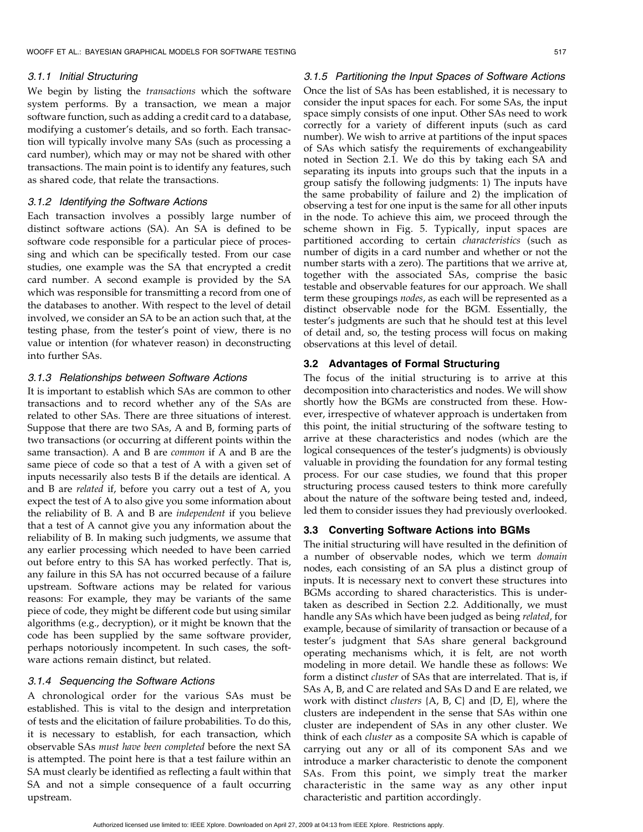## 3.1.1 Initial Structuring

We begin by listing the *transactions* which the software system performs. By a transaction, we mean a major software function, such as adding a credit card to a database, modifying a customer's details, and so forth. Each transaction will typically involve many SAs (such as processing a card number), which may or may not be shared with other transactions. The main point is to identify any features, such as shared code, that relate the transactions.

#### 3.1.2 Identifying the Software Actions

Each transaction involves a possibly large number of distinct software actions (SA). An SA is defined to be software code responsible for a particular piece of processing and which can be specifically tested. From our case studies, one example was the SA that encrypted a credit card number. A second example is provided by the SA which was responsible for transmitting a record from one of the databases to another. With respect to the level of detail involved, we consider an SA to be an action such that, at the testing phase, from the tester's point of view, there is no value or intention (for whatever reason) in deconstructing into further SAs.

#### 3.1.3 Relationships between Software Actions

It is important to establish which SAs are common to other transactions and to record whether any of the SAs are related to other SAs. There are three situations of interest. Suppose that there are two SAs, A and B, forming parts of two transactions (or occurring at different points within the same transaction). A and B are *common* if A and B are the same piece of code so that a test of A with a given set of inputs necessarily also tests B if the details are identical. A and B are related if, before you carry out a test of A, you expect the test of A to also give you some information about the reliability of B. A and B are independent if you believe that a test of A cannot give you any information about the reliability of B. In making such judgments, we assume that any earlier processing which needed to have been carried out before entry to this SA has worked perfectly. That is, any failure in this SA has not occurred because of a failure upstream. Software actions may be related for various reasons: For example, they may be variants of the same piece of code, they might be different code but using similar algorithms (e.g., decryption), or it might be known that the code has been supplied by the same software provider, perhaps notoriously incompetent. In such cases, the software actions remain distinct, but related.

#### 3.1.4 Sequencing the Software Actions

A chronological order for the various SAs must be established. This is vital to the design and interpretation of tests and the elicitation of failure probabilities. To do this, it is necessary to establish, for each transaction, which observable SAs must have been completed before the next SA is attempted. The point here is that a test failure within an SA must clearly be identified as reflecting a fault within that SA and not a simple consequence of a fault occurring upstream.

## 3.1.5 Partitioning the Input Spaces of Software Actions

Once the list of SAs has been established, it is necessary to consider the input spaces for each. For some SAs, the input space simply consists of one input. Other SAs need to work correctly for a variety of different inputs (such as card number). We wish to arrive at partitions of the input spaces of SAs which satisfy the requirements of exchangeability noted in Section 2.1. We do this by taking each SA and separating its inputs into groups such that the inputs in a group satisfy the following judgments: 1) The inputs have the same probability of failure and 2) the implication of observing a test for one input is the same for all other inputs in the node. To achieve this aim, we proceed through the scheme shown in Fig. 5. Typically, input spaces are partitioned according to certain *characteristics* (such as number of digits in a card number and whether or not the number starts with a zero). The partitions that we arrive at, together with the associated SAs, comprise the basic testable and observable features for our approach. We shall term these groupings nodes, as each will be represented as a distinct observable node for the BGM. Essentially, the tester's judgments are such that he should test at this level of detail and, so, the testing process will focus on making observations at this level of detail.

## 3.2 Advantages of Formal Structuring

The focus of the initial structuring is to arrive at this decomposition into characteristics and nodes. We will show shortly how the BGMs are constructed from these. However, irrespective of whatever approach is undertaken from this point, the initial structuring of the software testing to arrive at these characteristics and nodes (which are the logical consequences of the tester's judgments) is obviously valuable in providing the foundation for any formal testing process. For our case studies, we found that this proper structuring process caused testers to think more carefully about the nature of the software being tested and, indeed, led them to consider issues they had previously overlooked.

#### 3.3 Converting Software Actions into BGMs

The initial structuring will have resulted in the definition of a number of observable nodes, which we term *domain* nodes, each consisting of an SA plus a distinct group of inputs. It is necessary next to convert these structures into BGMs according to shared characteristics. This is undertaken as described in Section 2.2. Additionally, we must handle any SAs which have been judged as being related, for example, because of similarity of transaction or because of a tester's judgment that SAs share general background operating mechanisms which, it is felt, are not worth modeling in more detail. We handle these as follows: We form a distinct *cluster* of SAs that are interrelated. That is, if SAs A, B, and C are related and SAs D and E are related, we work with distinct *clusters*  $\{A, B, C\}$  and  $\{D, E\}$ , where the clusters are independent in the sense that SAs within one cluster are independent of SAs in any other cluster. We think of each *cluster* as a composite SA which is capable of carrying out any or all of its component SAs and we introduce a marker characteristic to denote the component SAs. From this point, we simply treat the marker characteristic in the same way as any other input characteristic and partition accordingly.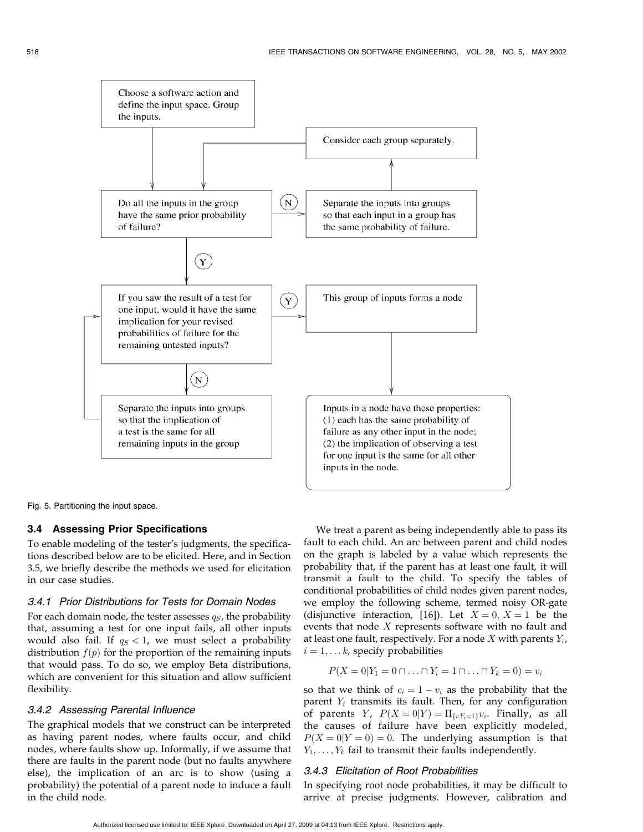

Fig. 5. Partitioning the input space.

#### **3.4 Assessing Prior Specifications**

To enable modeling of the tester's judgments, the specifications described below are to be elicited. Here, and in Section 3.5, we briefly describe the methods we used for elicitation in our case studies.

#### 3.4.1 Prior Distributions for Tests for Domain Nodes

For each domain node, the tester assesses  $q_S$ , the probability that, assuming a test for one input fails, all other inputs would also fail. If  $q_S < 1$ , we must select a probability distribution  $f(p)$  for the proportion of the remaining inputs that would pass. To do so, we employ Beta distributions, which are convenient for this situation and allow sufficient flexibility.

#### 3.4.2 Assessing Parental Influence

The graphical models that we construct can be interpreted as having parent nodes, where faults occur, and child nodes, where faults show up. Informally, if we assume that there are faults in the parent node (but no faults anywhere else), the implication of an arc is to show (using a probability) the potential of a parent node to induce a fault in the child node.

We treat a parent as being independently able to pass its fault to each child. An arc between parent and child nodes on the graph is labeled by a value which represents the probability that, if the parent has at least one fault, it will transmit a fault to the child. To specify the tables of conditional probabilities of child nodes given parent nodes, we employ the following scheme, termed noisy OR-gate (disjunctive interaction, [16]). Let  $X = 0$ ,  $X = 1$  be the events that node  $X$  represents software with no fault and at least one fault, respectively. For a node X with parents  $Y_i$ ,  $i = 1, \ldots k$ , specify probabilities

$$
P(X = 0|Y_1 = 0 \cap ... \cap Y_i = 1 \cap ... \cap Y_k = 0) = v_i
$$

so that we think of  $c_i = 1 - v_i$  as the probability that the parent  $Y_i$  transmits its fault. Then, for any configuration of parents Y,  $P(X = 0|Y) = \prod_{\{i:Y_i = 1\}} v_i$ . Finally, as all the causes of failure have been explicitly modeled,  $P(X = 0|Y = 0) = 0$ . The underlying assumption is that  $Y_1, \ldots, Y_k$  fail to transmit their faults independently.

#### 3.4.3 Elicitation of Root Probabilities

In specifying root node probabilities, it may be difficult to arrive at precise judgments. However, calibration and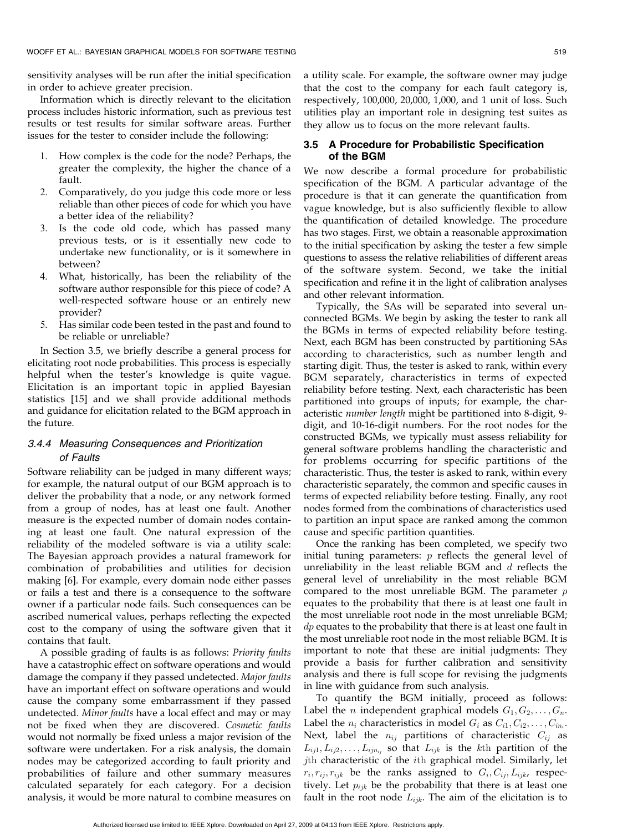sensitivity analyses will be run after the initial specification in order to achieve greater precision.

Information which is directly relevant to the elicitation process includes historic information, such as previous test results or test results for similar software areas. Further issues for the tester to consider include the following:

- 1. How complex is the code for the node? Perhaps, the greater the complexity, the higher the chance of a fault.
- Comparatively, do you judge this code more or less 2. reliable than other pieces of code for which you have a better idea of the reliability?
- Is the code old code, which has passed many  $3<sub>1</sub>$ previous tests, or is it essentially new code to undertake new functionality, or is it somewhere in between?
- What, historically, has been the reliability of the 4. software author responsible for this piece of code? A well-respected software house or an entirely new provider?
- Has similar code been tested in the past and found to 5. be reliable or unreliable?

In Section 3.5, we briefly describe a general process for elicitating root node probabilities. This process is especially helpful when the tester's knowledge is quite vague. Elicitation is an important topic in applied Bayesian statistics [15] and we shall provide additional methods and guidance for elicitation related to the BGM approach in the future.

## 3.4.4 Measuring Consequences and Prioritization of Faults

Software reliability can be judged in many different ways; for example, the natural output of our BGM approach is to deliver the probability that a node, or any network formed from a group of nodes, has at least one fault. Another measure is the expected number of domain nodes containing at least one fault. One natural expression of the reliability of the modeled software is via a utility scale: The Bayesian approach provides a natural framework for combination of probabilities and utilities for decision making [6]. For example, every domain node either passes or fails a test and there is a consequence to the software owner if a particular node fails. Such consequences can be ascribed numerical values, perhaps reflecting the expected cost to the company of using the software given that it contains that fault.

A possible grading of faults is as follows: Priority faults have a catastrophic effect on software operations and would damage the company if they passed undetected. Major faults have an important effect on software operations and would cause the company some embarrassment if they passed undetected. Minor faults have a local effect and may or may not be fixed when they are discovered. Cosmetic faults would not normally be fixed unless a major revision of the software were undertaken. For a risk analysis, the domain nodes may be categorized according to fault priority and probabilities of failure and other summary measures calculated separately for each category. For a decision analysis, it would be more natural to combine measures on

a utility scale. For example, the software owner may judge that the cost to the company for each fault category is, respectively, 100,000, 20,000, 1,000, and 1 unit of loss. Such utilities play an important role in designing test suites as they allow us to focus on the more relevant faults.

## 3.5 A Procedure for Probabilistic Specification of the BGM

We now describe a formal procedure for probabilistic specification of the BGM. A particular advantage of the procedure is that it can generate the quantification from vague knowledge, but is also sufficiently flexible to allow the quantification of detailed knowledge. The procedure has two stages. First, we obtain a reasonable approximation to the initial specification by asking the tester a few simple questions to assess the relative reliabilities of different areas of the software system. Second, we take the initial specification and refine it in the light of calibration analyses and other relevant information.

Typically, the SAs will be separated into several unconnected BGMs. We begin by asking the tester to rank all the BGMs in terms of expected reliability before testing. Next, each BGM has been constructed by partitioning SAs according to characteristics, such as number length and starting digit. Thus, the tester is asked to rank, within every BGM separately, characteristics in terms of expected reliability before testing. Next, each characteristic has been partitioned into groups of inputs; for example, the characteristic number length might be partitioned into 8-digit, 9digit, and 10-16-digit numbers. For the root nodes for the constructed BGMs, we typically must assess reliability for general software problems handling the characteristic and for problems occurring for specific partitions of the characteristic. Thus, the tester is asked to rank, within every characteristic separately, the common and specific causes in terms of expected reliability before testing. Finally, any root nodes formed from the combinations of characteristics used to partition an input space are ranked among the common cause and specific partition quantities.

Once the ranking has been completed, we specify two initial tuning parameters:  $p$  reflects the general level of unreliability in the least reliable BGM and  $d$  reflects the general level of unreliability in the most reliable BGM compared to the most unreliable BGM. The parameter  $p$ equates to the probability that there is at least one fault in the most unreliable root node in the most unreliable BGM;  $dp$  equates to the probability that there is at least one fault in the most unreliable root node in the most reliable BGM. It is important to note that these are initial judgments: They provide a basis for further calibration and sensitivity analysis and there is full scope for revising the judgments in line with guidance from such analysis.

To quantify the BGM initially, proceed as follows: Label the *n* independent graphical models  $G_1, G_2, \ldots, G_n$ . Label the  $n_i$  characteristics in model  $G_i$  as  $C_{i1}, C_{i2}, \ldots, C_{in_i}$ . Next, label the  $n_{ij}$  partitions of characteristic  $C_{ij}$  as  $L_{ij1}, L_{ij2}, \ldots, L_{ijn_{ij}}$  so that  $L_{ijk}$  is the kth partition of the jth characteristic of the *i*th graphical model. Similarly, let  $r_i, r_{ij}, r_{ijk}$  be the ranks assigned to  $G_i, C_{ij}, L_{ijk}$ , respectively. Let  $p_{ijk}$  be the probability that there is at least one fault in the root node  $L_{ijk}$ . The aim of the elicitation is to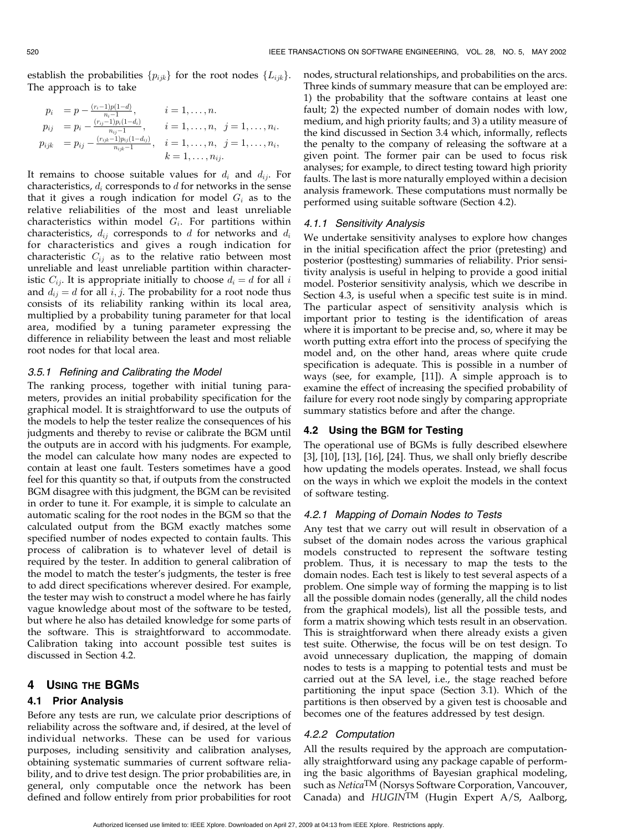establish the probabilities  $\{p_{ijk}\}\$  for the root nodes  $\{L_{ijk}\}\$ . The approach is to take

$$
p_i = p - \frac{(r_i - 1)p(1 - d)}{n_i - 1}, \qquad i = 1, \ldots, n.
$$
  
\n
$$
p_{ij} = p_i - \frac{(r_{ij} - 1)p_i(1 - d_i)}{n_{ij} - 1}, \qquad i = 1, \ldots, n, \quad j = 1, \ldots, n_i.
$$
  
\n
$$
p_{ijk} = p_{ij} - \frac{(r_{ijk} - 1)p_{ij}(1 - d_{ij})}{n_{ijk} - 1}, \qquad i = 1, \ldots, n, \quad j = 1, \ldots, n_i,
$$
  
\n
$$
k = 1, \ldots, n_i.
$$

It remains to choose suitable values for  $d_i$  and  $d_{ij}$ . For characteristics,  $d_i$  corresponds to  $d$  for networks in the sense that it gives a rough indication for model  $G_i$  as to the relative reliabilities of the most and least unreliable characteristics within model  $G_i$ . For partitions within characteristics,  $d_{ij}$  corresponds to d for networks and  $d_i$ for characteristics and gives a rough indication for characteristic  $C_{ij}$  as to the relative ratio between most unreliable and least unreliable partition within characteristic  $C_{ij}$ . It is appropriate initially to choose  $d_i = d$  for all i and  $d_{ij} = d$  for all  $i, j$ . The probability for a root node thus consists of its reliability ranking within its local area, multiplied by a probability tuning parameter for that local area, modified by a tuning parameter expressing the difference in reliability between the least and most reliable root nodes for that local area.

#### 3.5.1 Refining and Calibrating the Model

The ranking process, together with initial tuning parameters, provides an initial probability specification for the graphical model. It is straightforward to use the outputs of the models to help the tester realize the consequences of his judgments and thereby to revise or calibrate the BGM until the outputs are in accord with his judgments. For example, the model can calculate how many nodes are expected to contain at least one fault. Testers sometimes have a good feel for this quantity so that, if outputs from the constructed BGM disagree with this judgment, the BGM can be revisited in order to tune it. For example, it is simple to calculate an automatic scaling for the root nodes in the BGM so that the calculated output from the BGM exactly matches some specified number of nodes expected to contain faults. This process of calibration is to whatever level of detail is required by the tester. In addition to general calibration of the model to match the tester's judgments, the tester is free to add direct specifications wherever desired. For example, the tester may wish to construct a model where he has fairly vague knowledge about most of the software to be tested, but where he also has detailed knowledge for some parts of the software. This is straightforward to accommodate. Calibration taking into account possible test suites is discussed in Section 4.2.

#### **USING THE BGMS** 4

#### 4.1 Prior Analysis

Before any tests are run, we calculate prior descriptions of reliability across the software and, if desired, at the level of individual networks. These can be used for various purposes, including sensitivity and calibration analyses, obtaining systematic summaries of current software reliability, and to drive test design. The prior probabilities are, in general, only computable once the network has been defined and follow entirely from prior probabilities for root

nodes, structural relationships, and probabilities on the arcs. Three kinds of summary measure that can be employed are: 1) the probability that the software contains at least one fault; 2) the expected number of domain nodes with low, medium, and high priority faults; and 3) a utility measure of the kind discussed in Section 3.4 which, informally, reflects the penalty to the company of releasing the software at a given point. The former pair can be used to focus risk analyses; for example, to direct testing toward high priority faults. The last is more naturally employed within a decision analysis framework. These computations must normally be performed using suitable software (Section 4.2).

#### 4.1.1 Sensitivity Analysis

We undertake sensitivity analyses to explore how changes in the initial specification affect the prior (pretesting) and posterior (posttesting) summaries of reliability. Prior sensitivity analysis is useful in helping to provide a good initial model. Posterior sensitivity analysis, which we describe in Section 4.3, is useful when a specific test suite is in mind. The particular aspect of sensitivity analysis which is important prior to testing is the identification of areas where it is important to be precise and, so, where it may be worth putting extra effort into the process of specifying the model and, on the other hand, areas where quite crude specification is adequate. This is possible in a number of ways (see, for example, [11]). A simple approach is to examine the effect of increasing the specified probability of failure for every root node singly by comparing appropriate summary statistics before and after the change.

#### 4.2 Using the BGM for Testing

The operational use of BGMs is fully described elsewhere [3], [10], [13], [16], [24]. Thus, we shall only briefly describe how updating the models operates. Instead, we shall focus on the ways in which we exploit the models in the context of software testing.

#### 4.2.1 Mapping of Domain Nodes to Tests

Any test that we carry out will result in observation of a subset of the domain nodes across the various graphical models constructed to represent the software testing problem. Thus, it is necessary to map the tests to the domain nodes. Each test is likely to test several aspects of a problem. One simple way of forming the mapping is to list all the possible domain nodes (generally, all the child nodes from the graphical models), list all the possible tests, and form a matrix showing which tests result in an observation. This is straightforward when there already exists a given test suite. Otherwise, the focus will be on test design. To avoid unnecessary duplication, the mapping of domain nodes to tests is a mapping to potential tests and must be carried out at the SA level, i.e., the stage reached before partitioning the input space (Section 3.1). Which of the partitions is then observed by a given test is choosable and becomes one of the features addressed by test design.

#### 4.2.2 Computation

All the results required by the approach are computationally straightforward using any package capable of performing the basic algorithms of Bayesian graphical modeling, such as Netica<sup>TM</sup> (Norsys Software Corporation, Vancouver, Canada) and HUGINTM (Hugin Expert A/S, Aalborg,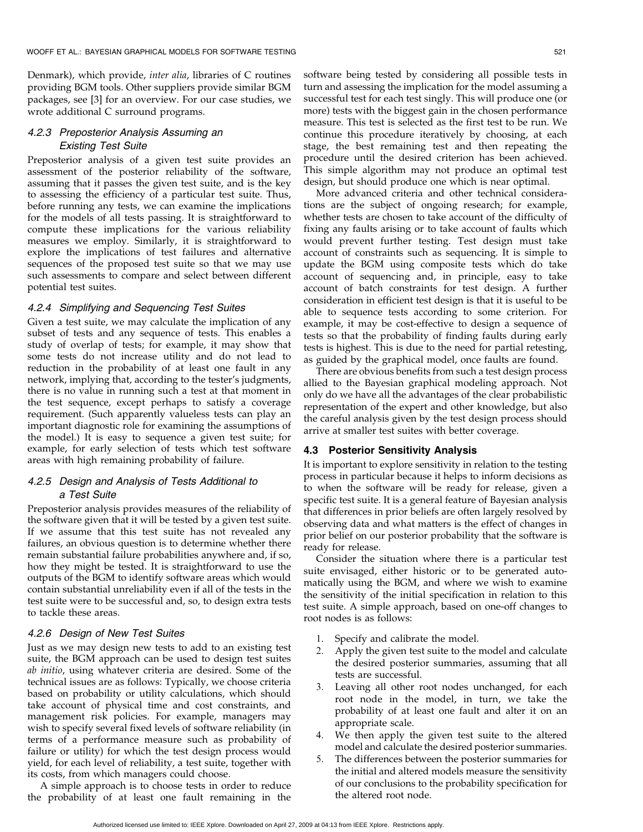Denmark), which provide, *inter alia*, libraries of C routines providing BGM tools. Other suppliers provide similar BGM packages, see [3] for an overview. For our case studies, we wrote additional C surround programs.

## 4.2.3 Preposterior Analysis Assuming an **Existing Test Suite**

Preposterior analysis of a given test suite provides an assessment of the posterior reliability of the software, assuming that it passes the given test suite, and is the key to assessing the efficiency of a particular test suite. Thus, before running any tests, we can examine the implications for the models of all tests passing. It is straightforward to compute these implications for the various reliability measures we employ. Similarly, it is straightforward to explore the implications of test failures and alternative sequences of the proposed test suite so that we may use such assessments to compare and select between different potential test suites.

#### 4.2.4 Simplifying and Sequencing Test Suites

Given a test suite, we may calculate the implication of any subset of tests and any sequence of tests. This enables a study of overlap of tests; for example, it may show that some tests do not increase utility and do not lead to reduction in the probability of at least one fault in any network, implying that, according to the tester's judgments, there is no value in running such a test at that moment in the test sequence, except perhaps to satisfy a coverage requirement. (Such apparently valueless tests can play an important diagnostic role for examining the assumptions of the model.) It is easy to sequence a given test suite; for example, for early selection of tests which test software areas with high remaining probability of failure.

## 4.2.5 Design and Analysis of Tests Additional to a Test Suite

Preposterior analysis provides measures of the reliability of the software given that it will be tested by a given test suite. If we assume that this test suite has not revealed any failures, an obvious question is to determine whether there remain substantial failure probabilities anywhere and, if so, how they might be tested. It is straightforward to use the outputs of the BGM to identify software areas which would contain substantial unreliability even if all of the tests in the test suite were to be successful and, so, to design extra tests to tackle these areas.

#### 4.2.6 Design of New Test Suites

Just as we may design new tests to add to an existing test suite, the BGM approach can be used to design test suites ab initio, using whatever criteria are desired. Some of the technical issues are as follows: Typically, we choose criteria based on probability or utility calculations, which should take account of physical time and cost constraints, and management risk policies. For example, managers may wish to specify several fixed levels of software reliability (in terms of a performance measure such as probability of failure or utility) for which the test design process would yield, for each level of reliability, a test suite, together with its costs, from which managers could choose.

A simple approach is to choose tests in order to reduce the probability of at least one fault remaining in the software being tested by considering all possible tests in turn and assessing the implication for the model assuming a successful test for each test singly. This will produce one (or more) tests with the biggest gain in the chosen performance measure. This test is selected as the first test to be run. We continue this procedure iteratively by choosing, at each stage, the best remaining test and then repeating the procedure until the desired criterion has been achieved. This simple algorithm may not produce an optimal test design, but should produce one which is near optimal.

More advanced criteria and other technical considerations are the subject of ongoing research; for example, whether tests are chosen to take account of the difficulty of fixing any faults arising or to take account of faults which would prevent further testing. Test design must take account of constraints such as sequencing. It is simple to update the BGM using composite tests which do take account of sequencing and, in principle, easy to take account of batch constraints for test design. A further consideration in efficient test design is that it is useful to be able to sequence tests according to some criterion. For example, it may be cost-effective to design a sequence of tests so that the probability of finding faults during early tests is highest. This is due to the need for partial retesting, as guided by the graphical model, once faults are found.

There are obvious benefits from such a test design process allied to the Bayesian graphical modeling approach. Not only do we have all the advantages of the clear probabilistic representation of the expert and other knowledge, but also the careful analysis given by the test design process should arrive at smaller test suites with better coverage.

#### 4.3 Posterior Sensitivity Analysis

It is important to explore sensitivity in relation to the testing process in particular because it helps to inform decisions as to when the software will be ready for release, given a specific test suite. It is a general feature of Bayesian analysis that differences in prior beliefs are often largely resolved by observing data and what matters is the effect of changes in prior belief on our posterior probability that the software is ready for release.

Consider the situation where there is a particular test suite envisaged, either historic or to be generated automatically using the BGM, and where we wish to examine the sensitivity of the initial specification in relation to this test suite. A simple approach, based on one-off changes to root nodes is as follows:

- 1. Specify and calibrate the model.
- 2. Apply the given test suite to the model and calculate the desired posterior summaries, assuming that all tests are successful.
- 3. Leaving all other root nodes unchanged, for each root node in the model, in turn, we take the probability of at least one fault and alter it on an appropriate scale.
- 4. We then apply the given test suite to the altered model and calculate the desired posterior summaries.
- The differences between the posterior summaries for 5. the initial and altered models measure the sensitivity of our conclusions to the probability specification for the altered root node.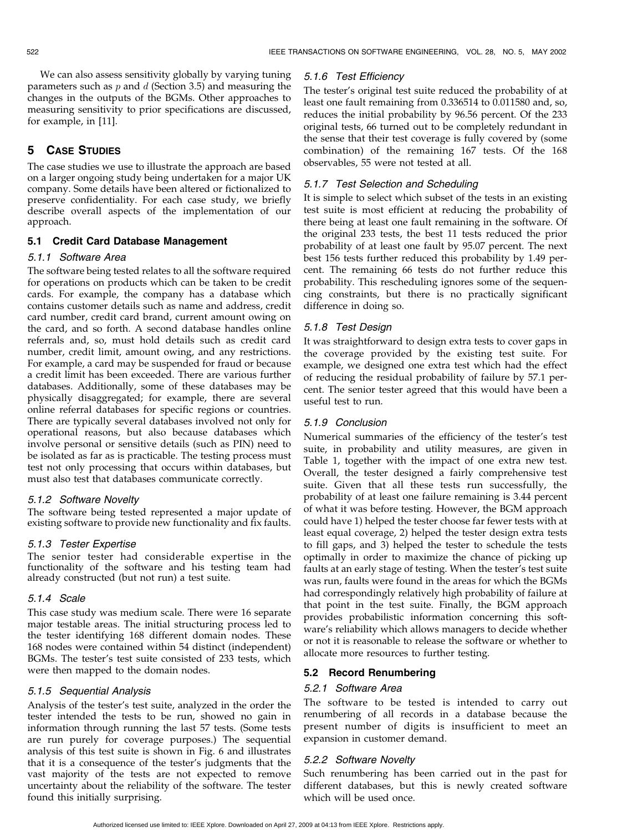We can also assess sensitivity globally by varying tuning parameters such as  $p$  and  $d$  (Section 3.5) and measuring the changes in the outputs of the BGMs. Other approaches to measuring sensitivity to prior specifications are discussed, for example, in [11].

#### 5 **CASE STUDIES**

The case studies we use to illustrate the approach are based on a larger ongoing study being undertaken for a major UK company. Some details have been altered or fictionalized to preserve confidentiality. For each case study, we briefly describe overall aspects of the implementation of our approach.

#### 5.1 Credit Card Database Management

#### 5.1.1 Software Area

The software being tested relates to all the software required for operations on products which can be taken to be credit cards. For example, the company has a database which contains customer details such as name and address, credit card number, credit card brand, current amount owing on the card, and so forth. A second database handles online referrals and, so, must hold details such as credit card number, credit limit, amount owing, and any restrictions. For example, a card may be suspended for fraud or because a credit limit has been exceeded. There are various further databases. Additionally, some of these databases may be physically disaggregated; for example, there are several online referral databases for specific regions or countries. There are typically several databases involved not only for operational reasons, but also because databases which involve personal or sensitive details (such as PIN) need to be isolated as far as is practicable. The testing process must test not only processing that occurs within databases, but must also test that databases communicate correctly.

#### 5.1.2 Software Novelty

The software being tested represented a major update of existing software to provide new functionality and fix faults.

## 5.1.3 Tester Expertise

The senior tester had considerable expertise in the functionality of the software and his testing team had already constructed (but not run) a test suite.

#### 5.1.4 Scale

This case study was medium scale. There were 16 separate major testable areas. The initial structuring process led to the tester identifying 168 different domain nodes. These 168 nodes were contained within 54 distinct (independent) BGMs. The tester's test suite consisted of 233 tests, which were then mapped to the domain nodes.

#### 5.1.5 Sequential Analysis

Analysis of the tester's test suite, analyzed in the order the tester intended the tests to be run, showed no gain in information through running the last 57 tests. (Some tests are run purely for coverage purposes.) The sequential analysis of this test suite is shown in Fig. 6 and illustrates that it is a consequence of the tester's judgments that the vast majority of the tests are not expected to remove uncertainty about the reliability of the software. The tester found this initially surprising.

#### 5.1.6 Test Efficiency

The tester's original test suite reduced the probability of at least one fault remaining from 0.336514 to 0.011580 and, so, reduces the initial probability by 96.56 percent. Of the 233 original tests, 66 turned out to be completely redundant in the sense that their test coverage is fully covered by (some combination) of the remaining 167 tests. Of the 168 observables, 55 were not tested at all.

#### 5.1.7 Test Selection and Scheduling

It is simple to select which subset of the tests in an existing test suite is most efficient at reducing the probability of there being at least one fault remaining in the software. Of the original 233 tests, the best 11 tests reduced the prior probability of at least one fault by 95.07 percent. The next best 156 tests further reduced this probability by 1.49 percent. The remaining 66 tests do not further reduce this probability. This rescheduling ignores some of the sequencing constraints, but there is no practically significant difference in doing so.

## 5.1.8 Test Design

It was straightforward to design extra tests to cover gaps in the coverage provided by the existing test suite. For example, we designed one extra test which had the effect of reducing the residual probability of failure by 57.1 percent. The senior tester agreed that this would have been a useful test to run.

#### 5.1.9 Conclusion

Numerical summaries of the efficiency of the tester's test suite, in probability and utility measures, are given in Table 1, together with the impact of one extra new test. Overall, the tester designed a fairly comprehensive test suite. Given that all these tests run successfully, the probability of at least one failure remaining is 3.44 percent of what it was before testing. However, the BGM approach could have 1) helped the tester choose far fewer tests with at least equal coverage, 2) helped the tester design extra tests to fill gaps, and 3) helped the tester to schedule the tests optimally in order to maximize the chance of picking up faults at an early stage of testing. When the tester's test suite was run, faults were found in the areas for which the BGMs had correspondingly relatively high probability of failure at that point in the test suite. Finally, the BGM approach provides probabilistic information concerning this software's reliability which allows managers to decide whether or not it is reasonable to release the software or whether to allocate more resources to further testing.

#### 5.2 Record Renumbering

#### 5.2.1 Software Area

The software to be tested is intended to carry out renumbering of all records in a database because the present number of digits is insufficient to meet an expansion in customer demand.

## 5.2.2 Software Novelty

Such renumbering has been carried out in the past for different databases, but this is newly created software which will be used once.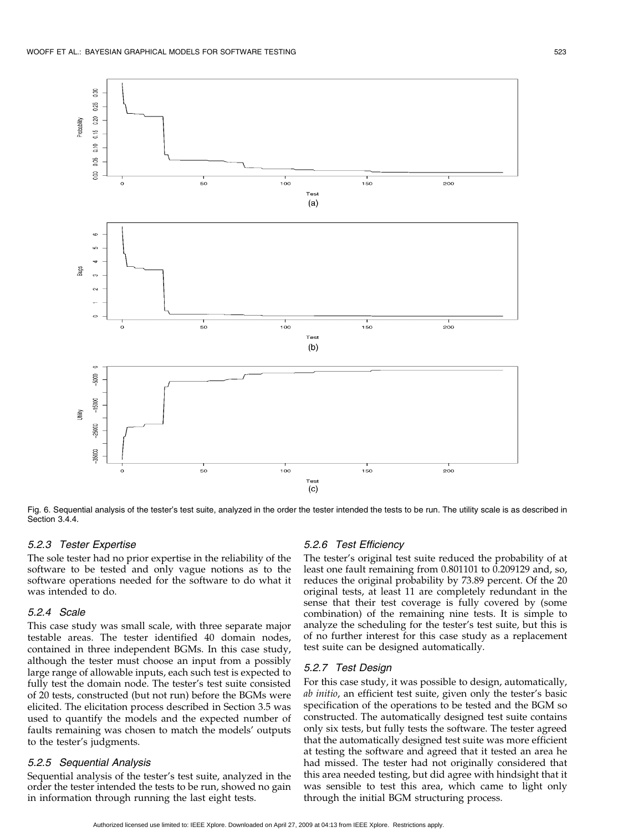

Fig. 6. Sequential analysis of the tester's test suite, analyzed in the order the tester intended the tests to be run. The utility scale is as described in Section 3.4.4.

#### 5.2.3 Tester Expertise

The sole tester had no prior expertise in the reliability of the software to be tested and only vague notions as to the software operations needed for the software to do what it was intended to do.

#### 5.2.4 Scale

This case study was small scale, with three separate major testable areas. The tester identified 40 domain nodes, contained in three independent BGMs. In this case study, although the tester must choose an input from a possibly large range of allowable inputs, each such test is expected to fully test the domain node. The tester's test suite consisted of 20 tests, constructed (but not run) before the BGMs were elicited. The elicitation process described in Section 3.5 was used to quantify the models and the expected number of faults remaining was chosen to match the models' outputs to the tester's judgments.

#### 5.2.5 Sequential Analysis

Sequential analysis of the tester's test suite, analyzed in the order the tester intended the tests to be run, showed no gain in information through running the last eight tests.

#### 5.2.6 Test Efficiency

The tester's original test suite reduced the probability of at least one fault remaining from 0.801101 to 0.209129 and, so, reduces the original probability by 73.89 percent. Of the 20 original tests, at least 11 are completely redundant in the sense that their test coverage is fully covered by (some combination) of the remaining nine tests. It is simple to analyze the scheduling for the tester's test suite, but this is of no further interest for this case study as a replacement test suite can be designed automatically.

#### 5.2.7 Test Design

For this case study, it was possible to design, automatically, ab initio, an efficient test suite, given only the tester's basic specification of the operations to be tested and the BGM so constructed. The automatically designed test suite contains only six tests, but fully tests the software. The tester agreed that the automatically designed test suite was more efficient at testing the software and agreed that it tested an area he had missed. The tester had not originally considered that this area needed testing, but did agree with hindsight that it was sensible to test this area, which came to light only through the initial BGM structuring process.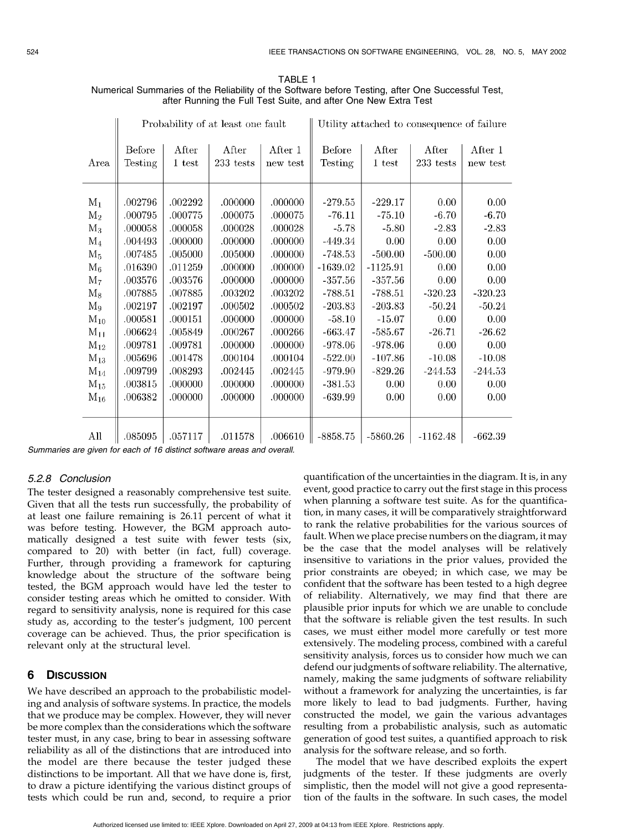TABLE 1 Numerical Summaries of the Reliability of the Software before Testing, after One Successful Test, after Running the Full Test Suite, and after One New Extra Test

|                | Probability of at least one fault |         |             |          | Utility attached to consequence of failure |            |                    |           |
|----------------|-----------------------------------|---------|-------------|----------|--------------------------------------------|------------|--------------------|-----------|
|                | Before                            | After   | After       | After 1  | <b>Before</b>                              | After      | After              | After 1   |
| Area           | Testing                           | 1 test  | $233$ tests | new test | Testing                                    | 1 test     | $233\rm\,\, tests$ | new test  |
|                |                                   |         |             |          |                                            |            |                    |           |
|                |                                   |         |             |          |                                            |            |                    |           |
| $M_1$          | .002796                           | .002292 | .000000     | .000000  | $-279.55$                                  | $-229.17$  | 0.00               | 0.00      |
| $M_2$          | .000795                           | .000775 | .000075     | .000075  | $-76.11$                                   | $-75.10$   | $-6.70$            | $-6.70$   |
| $M_3$          | .000058                           | .000058 | .000028     | .000028  | $-5.78$                                    | $-5.80$    | $-2.83$            | $-2.83$   |
| $M_4$          | .004493                           | .000000 | .000000     | .000000  | $-449.34$                                  | 0.00       | 0.00               | 0.00      |
| $M_5$          | .007485                           | .005000 | .005000     | .000000  | $-748.53$                                  | $-500.00$  | $-500.00$          | 0.00      |
| $\rm M_6$      | .016390                           | .011259 | .000000     | .000000  | $-1639.02$                                 | $-1125.91$ | 0.00               | 0.00      |
| M <sub>7</sub> | .003576                           | .003576 | .000000     | .000000  | $-357.56$                                  | $-357.56$  | 0.00               | 0.00      |
| $M_8$          | .007885                           | .007885 | .003202     | .003202  | $-788.51$                                  | $-788.51$  | $-320.23$          | $-320.23$ |
| M <sub>9</sub> | .002197                           | .002197 | .000502     | .000502  | $-203.83$                                  | $-203.83$  | $-50.24$           | $-50.24$  |
| $M_{10}$       | .000581                           | .000151 | .000000     | .000000  | $-58.10$                                   | $-15.07$   | 0.00               | 0.00      |
| $M_{11}$       | .006624                           | .005849 | .000267     | .000266  | $-663.47$                                  | $-585.67$  | $-26.71$           | $-26.62$  |
| $M_{12}$       | .009781                           | .009781 | .000000     | .000000  | $-978.06$                                  | $-978.06$  | 0.00               | 0.00      |
| $M_{13}$       | .005696                           | .001478 | .000104     | .000104  | $-522.00$                                  | $-107.86$  | $-10.08$           | $-10.08$  |
| $M_{14}$       | .009799                           | .008293 | .002445     | .002445  | $-979.90$                                  | $-829.26$  | $-244.53$          | $-244.53$ |
| $M_{15}$       | .003815                           | .000000 | .000000     | .000000  | $-381.53$                                  | 0.00       | 0.00               | 0.00      |
| $\rm M_{16}$   | .006382                           | .000000 | .000000     | .000000  | $-639.99$                                  | 0.00       | 0.00               | 0.00      |
|                |                                   |         |             |          |                                            |            |                    |           |
|                |                                   |         |             |          |                                            |            |                    |           |
| All            | .085095                           | .057117 | .011578     | .006610  | $-8858.75$                                 | $-5860.26$ | $-1162.48$         | $-662.39$ |

Summaries are given for each of 16 distinct software areas and overall.

## 5.2.8 Conclusion

The tester designed a reasonably comprehensive test suite. Given that all the tests run successfully, the probability of at least one failure remaining is 26.11 percent of what it was before testing. However, the BGM approach automatically designed a test suite with fewer tests (six, compared to 20) with better (in fact, full) coverage. Further, through providing a framework for capturing knowledge about the structure of the software being tested, the BGM approach would have led the tester to consider testing areas which he omitted to consider. With regard to sensitivity analysis, none is required for this case study as, according to the tester's judgment, 100 percent coverage can be achieved. Thus, the prior specification is relevant only at the structural level.

#### 6 **DISCUSSION**

We have described an approach to the probabilistic modeling and analysis of software systems. In practice, the models that we produce may be complex. However, they will never be more complex than the considerations which the software tester must, in any case, bring to bear in assessing software reliability as all of the distinctions that are introduced into the model are there because the tester judged these distinctions to be important. All that we have done is, first, to draw a picture identifying the various distinct groups of tests which could be run and, second, to require a prior

quantification of the uncertainties in the diagram. It is, in any event, good practice to carry out the first stage in this process when planning a software test suite. As for the quantification, in many cases, it will be comparatively straightforward to rank the relative probabilities for the various sources of fault. When we place precise numbers on the diagram, it may be the case that the model analyses will be relatively insensitive to variations in the prior values, provided the prior constraints are obeyed; in which case, we may be confident that the software has been tested to a high degree of reliability. Alternatively, we may find that there are plausible prior inputs for which we are unable to conclude that the software is reliable given the test results. In such cases, we must either model more carefully or test more extensively. The modeling process, combined with a careful sensitivity analysis, forces us to consider how much we can defend our judgments of software reliability. The alternative, namely, making the same judgments of software reliability without a framework for analyzing the uncertainties, is far more likely to lead to bad judgments. Further, having constructed the model, we gain the various advantages resulting from a probabilistic analysis, such as automatic generation of good test suites, a quantified approach to risk analysis for the software release, and so forth.

The model that we have described exploits the expert judgments of the tester. If these judgments are overly simplistic, then the model will not give a good representation of the faults in the software. In such cases, the model